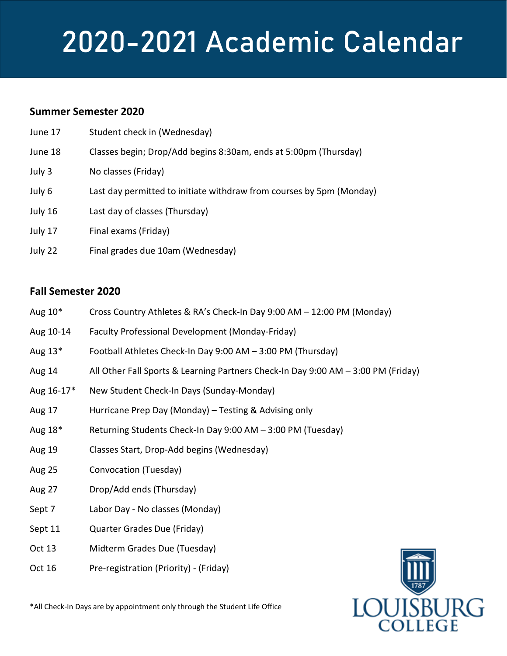# 2020-2021 Academic Calendar

## **Summer Semester 2020**

| June 17 | Student check in (Wednesday)                                         |
|---------|----------------------------------------------------------------------|
| June 18 | Classes begin; Drop/Add begins 8:30am, ends at 5:00pm (Thursday)     |
| July 3  | No classes (Friday)                                                  |
| July 6  | Last day permitted to initiate withdraw from courses by 5pm (Monday) |
| July 16 | Last day of classes (Thursday)                                       |
| July 17 | Final exams (Friday)                                                 |
| July 22 | Final grades due 10am (Wednesday)                                    |

### **Fall Semester 2020**

| Aug $10^*$ | Cross Country Athletes & RA's Check-In Day 9:00 AM - 12:00 PM (Monday) |  |  |
|------------|------------------------------------------------------------------------|--|--|
|------------|------------------------------------------------------------------------|--|--|

- Aug 10-14 Faculty Professional Development (Monday-Friday)
- Aug 13\* Football Athletes Check-In Day 9:00 AM 3:00 PM (Thursday)
- Aug 14 All Other Fall Sports & Learning Partners Check-In Day 9:00 AM 3:00 PM (Friday)
- Aug 16-17\* New Student Check-In Days (Sunday-Monday)
- Aug 17 Hurricane Prep Day (Monday) Testing & Advising only
- Aug 18\* Returning Students Check-In Day 9:00 AM 3:00 PM (Tuesday)
- Aug 19 Classes Start, Drop-Add begins (Wednesday)
- Aug 25 Convocation (Tuesday)
- Aug 27 Drop/Add ends (Thursday)
- Sept 7 Labor Day No classes (Monday)
- Sept 11 Quarter Grades Due (Friday)
- Oct 13 Midterm Grades Due (Tuesday)
- Oct 16 Pre-registration (Priority) (Friday)



\*All Check-In Days are by appointment only through the Student Life Office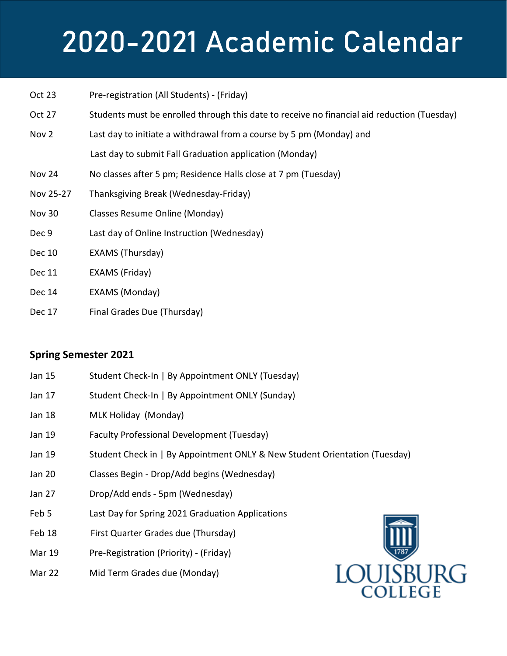# 2020-2021 Academic Calendar

| Oct 23    | Pre-registration (All Students) - (Friday)                                                  |
|-----------|---------------------------------------------------------------------------------------------|
| Oct 27    | Students must be enrolled through this date to receive no financial aid reduction (Tuesday) |
| Nov 2     | Last day to initiate a withdrawal from a course by 5 pm (Monday) and                        |
|           | Last day to submit Fall Graduation application (Monday)                                     |
| Nov 24    | No classes after 5 pm; Residence Halls close at 7 pm (Tuesday)                              |
| Nov 25-27 | Thanksgiving Break (Wednesday-Friday)                                                       |
| Nov 30    | Classes Resume Online (Monday)                                                              |
| Dec 9     | Last day of Online Instruction (Wednesday)                                                  |
| Dec 10    | EXAMS (Thursday)                                                                            |
| Dec 11    | EXAMS (Friday)                                                                              |
| Dec 14    | <b>EXAMS (Monday)</b>                                                                       |
| Dec 17    | Final Grades Due (Thursday)                                                                 |

## **Spring Semester 2021**

- Jan 15 Student Check-In | By Appointment ONLY (Tuesday)
- Jan 17 Student Check-In | By Appointment ONLY (Sunday)
- Jan 18 MLK Holiday (Monday)
- Jan 19 Faculty Professional Development (Tuesday)
- Jan 19 Student Check in | By Appointment ONLY & New Student Orientation (Tuesday)
- Jan 20 Classes Begin Drop/Add begins (Wednesday)
- Jan 27 Drop/Add ends 5pm (Wednesday)
- Feb 5 Last Day for Spring 2021 Graduation Applications
- Feb 18 First Quarter Grades due (Thursday)
- Mar 19 Pre-Registration (Priority) (Friday)
- Mar 22 Mid Term Grades due (Monday)